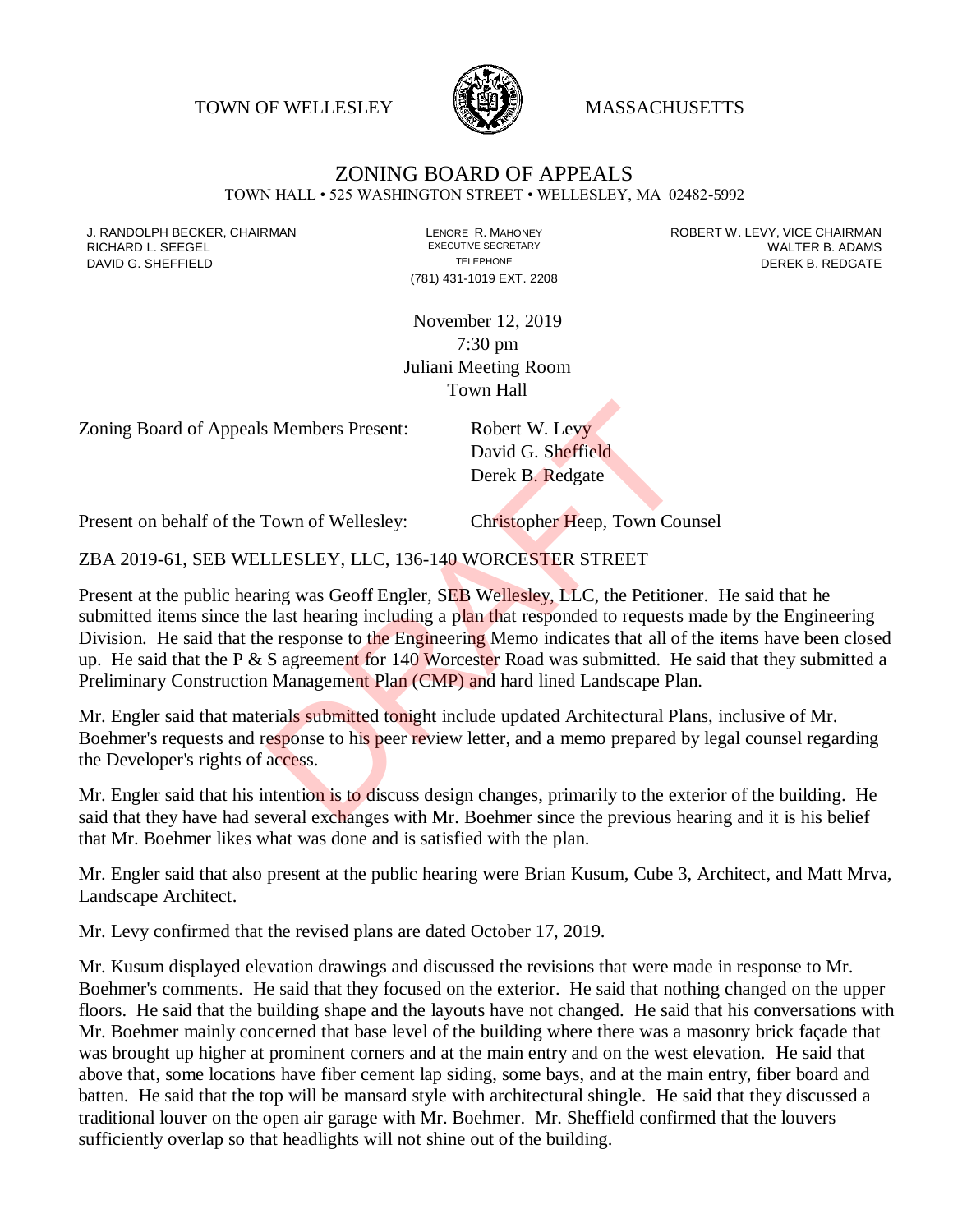TOWN OF WELLESLEY **WELLESLEY** MASSACHUSETTS



## ZONING BOARD OF APPEALS TOWN HALL • 525 WASHINGTON STREET • WELLESLEY, MA 02482-5992

(781) 431-1019 EXT. 2208

J. RANDOLPH BECKER, CHAIRMAN LANDOLPH BECKER, CHAIRMAN LENORE R. MAHONEY LEWING AND ROBERT W. LEVY, VICE CHAIRMAN<br>RICHARD L. SFFGFI LADAMS RICHARD L. SEEGEL **EXECUTIVE SECRETARY CONTROLLY SECRETARY** THE SECRETARY WALTER B. ADAMS DAVID G. SHEFFIELD **TELEPHONE** TELEPHONE TELEPHONE **TELEPHONE DEREK B. REDGATE** 

> November 12, 2019 7:30 pm Juliani Meeting Room Town Hall

Zoning Board of Appeals Members Present: Robert W. Levy

David G. Sheffield Derek B. Redgate

Present on behalf of the Town of Wellesley: Christopher Heep, Town Counsel

## ZBA 2019-61, SEB WELLESLEY, LLC, 136-140 WORCESTER STREET

Present at the public hearing was Geoff Engler, SEB Wellesley, LLC, the Petitioner. He said that he submitted items since the last hearing including a plan that responded to requests made by the Engineering Division. He said that the response to the Engineering Memo indicates that all of the items have been closed up. He said that the P  $&$  S agreement for 140 Worcester Road was submitted. He said that they submitted a Preliminary Construction Management Plan (CMP) and hard lined Landscape Plan. Robert W. Levy<br>David G. Sheffield<br>Derek B. Redgate<br>Cown of Wellesley: Christopher Heep, Town Court<br>Cown of Wellesley: Christopher Heep, Town Court<br>LESLEY, LLC, 136-140 WORCESTER STREET<br>ing was Geoff Engler, SEB Wellesley,

Mr. Engler said that materials submitted tonight include updated Architectural Plans, inclusive of Mr. Boehmer's requests and response to his peer review letter, and a memo prepared by legal counsel regarding the Developer's rights of access.

Mr. Engler said that his intention is to discuss design changes, primarily to the exterior of the building. He said that they have had several exchanges with Mr. Boehmer since the previous hearing and it is his belief that Mr. Boehmer likes what was done and is satisfied with the plan.

Mr. Engler said that also present at the public hearing were Brian Kusum, Cube 3, Architect, and Matt Mrva, Landscape Architect.

Mr. Levy confirmed that the revised plans are dated October 17, 2019.

Mr. Kusum displayed elevation drawings and discussed the revisions that were made in response to Mr. Boehmer's comments. He said that they focused on the exterior. He said that nothing changed on the upper floors. He said that the building shape and the layouts have not changed. He said that his conversations with Mr. Boehmer mainly concerned that base level of the building where there was a masonry brick façade that was brought up higher at prominent corners and at the main entry and on the west elevation. He said that above that, some locations have fiber cement lap siding, some bays, and at the main entry, fiber board and batten. He said that the top will be mansard style with architectural shingle. He said that they discussed a traditional louver on the open air garage with Mr. Boehmer. Mr. Sheffield confirmed that the louvers sufficiently overlap so that headlights will not shine out of the building.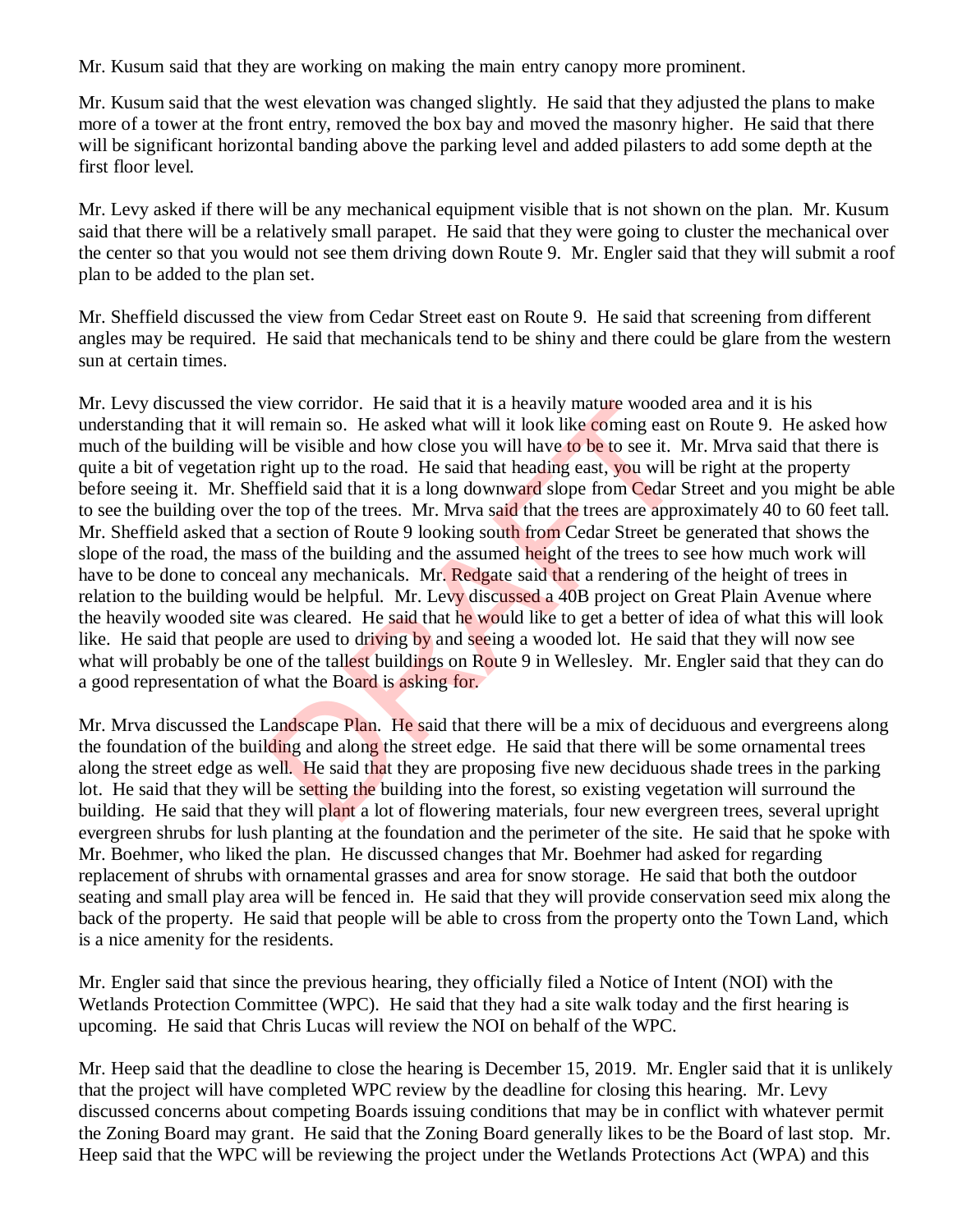Mr. Kusum said that they are working on making the main entry canopy more prominent.

Mr. Kusum said that the west elevation was changed slightly. He said that they adjusted the plans to make more of a tower at the front entry, removed the box bay and moved the masonry higher. He said that there will be significant horizontal banding above the parking level and added pilasters to add some depth at the first floor level.

Mr. Levy asked if there will be any mechanical equipment visible that is not shown on the plan. Mr. Kusum said that there will be a relatively small parapet. He said that they were going to cluster the mechanical over the center so that you would not see them driving down Route 9. Mr. Engler said that they will submit a roof plan to be added to the plan set.

Mr. Sheffield discussed the view from Cedar Street east on Route 9. He said that screening from different angles may be required. He said that mechanicals tend to be shiny and there could be glare from the western sun at certain times.

Mr. Levy discussed the view corridor. He said that it is a heavily mature wooded area and it is his understanding that it will remain so. He asked what will it look like coming east on Route 9. He asked how much of the building will be visible and how close you will have to be to see it. Mr. Mrva said that there is quite a bit of vegetation right up to the road. He said that heading east, you will be right at the property before seeing it. Mr. Sheffield said that it is a long downward slope from Cedar Street and you might be able to see the building over the top of the trees. Mr. Mrva said that the trees are approximately 40 to 60 feet tall. Mr. Sheffield asked that a section of Route 9 looking south from Cedar Street be generated that shows the slope of the road, the mass of the building and the assumed height of the trees to see how much work will have to be done to conceal any mechanicals. Mr. Redgate said that a rendering of the height of trees in relation to the building would be helpful. Mr. Levy discussed a 40B project on Great Plain Avenue where the heavily wooded site was cleared. He said that he would like to get a better of idea of what this will look like. He said that people are used to driving by and seeing a wooded lot. He said that they will now see what will probably be one of the tallest buildings on Route 9 in Wellesley. Mr. Engler said that they can do a good representation of what the Board is asking for. rew corridor. He said that it is a heavily mature wooded<br>remain so. He asked what will it look like coming east of<br>be visible and how close you will have to be to see it. N<br>ight up to the road. He said that heading east, y

Mr. Mrva discussed the Landscape Plan. He said that there will be a mix of deciduous and evergreens along the foundation of the building and along the street edge. He said that there will be some ornamental trees along the street edge as well. He said that they are proposing five new deciduous shade trees in the parking lot. He said that they will be setting the building into the forest, so existing vegetation will surround the building. He said that they will plant a lot of flowering materials, four new evergreen trees, several upright evergreen shrubs for lush planting at the foundation and the perimeter of the site. He said that he spoke with Mr. Boehmer, who liked the plan. He discussed changes that Mr. Boehmer had asked for regarding replacement of shrubs with ornamental grasses and area for snow storage. He said that both the outdoor seating and small play area will be fenced in. He said that they will provide conservation seed mix along the back of the property. He said that people will be able to cross from the property onto the Town Land, which is a nice amenity for the residents.

Mr. Engler said that since the previous hearing, they officially filed a Notice of Intent (NOI) with the Wetlands Protection Committee (WPC). He said that they had a site walk today and the first hearing is upcoming. He said that Chris Lucas will review the NOI on behalf of the WPC.

Mr. Heep said that the deadline to close the hearing is December 15, 2019. Mr. Engler said that it is unlikely that the project will have completed WPC review by the deadline for closing this hearing. Mr. Levy discussed concerns about competing Boards issuing conditions that may be in conflict with whatever permit the Zoning Board may grant. He said that the Zoning Board generally likes to be the Board of last stop. Mr. Heep said that the WPC will be reviewing the project under the Wetlands Protections Act (WPA) and this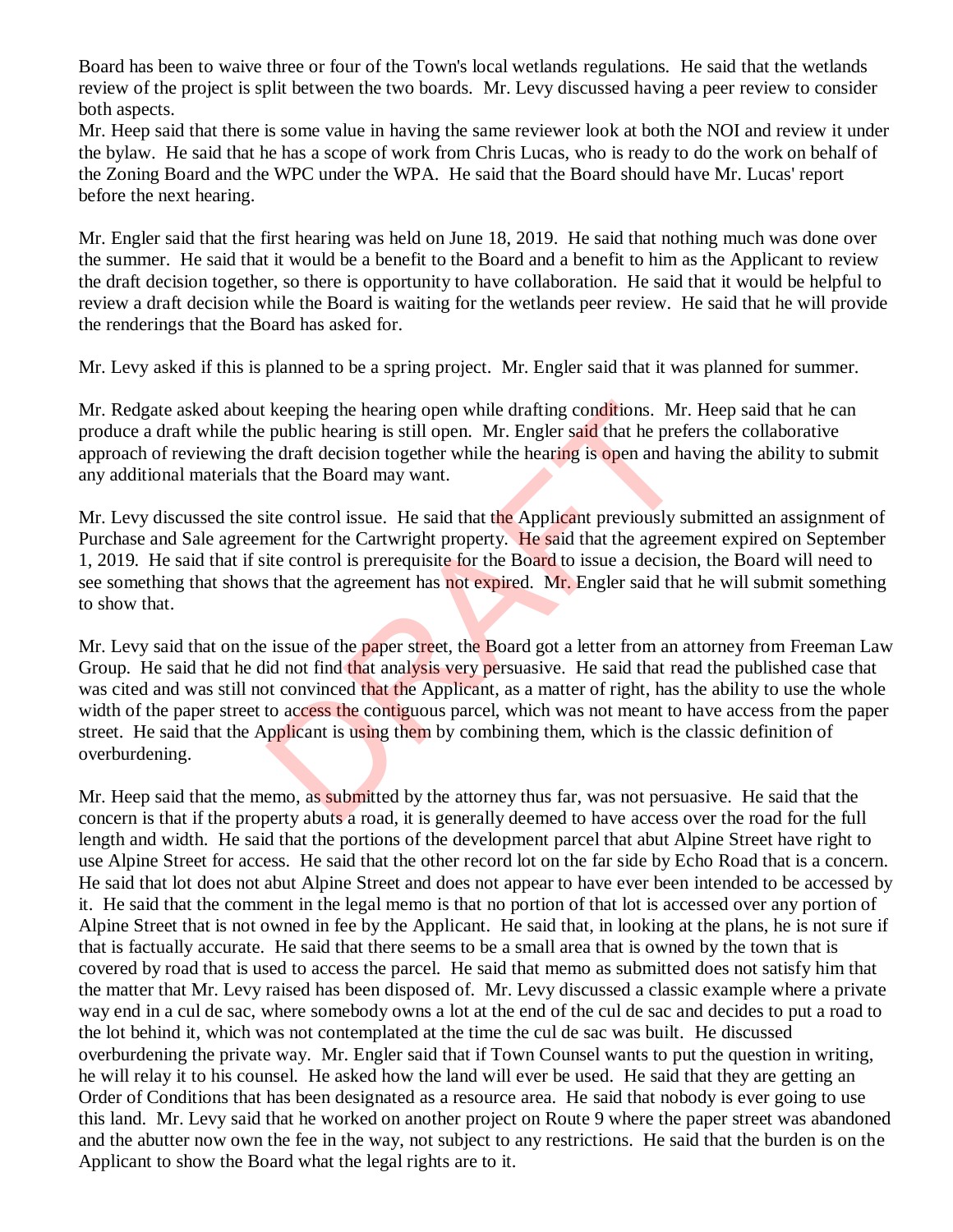Board has been to waive three or four of the Town's local wetlands regulations. He said that the wetlands review of the project is split between the two boards. Mr. Levy discussed having a peer review to consider both aspects.

Mr. Heep said that there is some value in having the same reviewer look at both the NOI and review it under the bylaw. He said that he has a scope of work from Chris Lucas, who is ready to do the work on behalf of the Zoning Board and the WPC under the WPA. He said that the Board should have Mr. Lucas' report before the next hearing.

Mr. Engler said that the first hearing was held on June 18, 2019. He said that nothing much was done over the summer. He said that it would be a benefit to the Board and a benefit to him as the Applicant to review the draft decision together, so there is opportunity to have collaboration. He said that it would be helpful to review a draft decision while the Board is waiting for the wetlands peer review. He said that he will provide the renderings that the Board has asked for.

Mr. Levy asked if this is planned to be a spring project. Mr. Engler said that it was planned for summer.

Mr. Redgate asked about keeping the hearing open while drafting conditions. Mr. Heep said that he can produce a draft while the public hearing is still open. Mr. Engler said that he prefers the collaborative approach of reviewing the draft decision together while the hearing is open and having the ability to submit any additional materials that the Board may want.

Mr. Levy discussed the site control issue. He said that the Applicant previously submitted an assignment of Purchase and Sale agreement for the Cartwright property. He said that the agreement expired on September 1, 2019. He said that if site control is prerequisite for the Board to issue a decision, the Board will need to see something that shows that the agreement has not expired. Mr. Engler said that he will submit something to show that.

Mr. Levy said that on the issue of the paper street, the Board got a letter from an attorney from Freeman Law Group. He said that he did not find that analysis very persuasive. He said that read the published case that was cited and was still not convinced that the Applicant, as a matter of right, has the ability to use the whole width of the paper street to access the contiguous parcel, which was not meant to have access from the paper street. He said that the Applicant is using them by combining them, which is the classic definition of overburdening. keeping the hearing open while drafting conditions. Mr.<br>public hearing is still open. Mr. Engler said that he prefe draft decision together while the hearing is open and ha<br>hat the Board may want.<br>ite control issue. He sai

Mr. Heep said that the memo, as submitted by the attorney thus far, was not persuasive. He said that the concern is that if the property abuts a road, it is generally deemed to have access over the road for the full length and width. He said that the portions of the development parcel that abut Alpine Street have right to use Alpine Street for access. He said that the other record lot on the far side by Echo Road that is a concern. He said that lot does not abut Alpine Street and does not appear to have ever been intended to be accessed by it. He said that the comment in the legal memo is that no portion of that lot is accessed over any portion of Alpine Street that is not owned in fee by the Applicant. He said that, in looking at the plans, he is not sure if that is factually accurate. He said that there seems to be a small area that is owned by the town that is covered by road that is used to access the parcel. He said that memo as submitted does not satisfy him that the matter that Mr. Levy raised has been disposed of. Mr. Levy discussed a classic example where a private way end in a cul de sac, where somebody owns a lot at the end of the cul de sac and decides to put a road to the lot behind it, which was not contemplated at the time the cul de sac was built. He discussed overburdening the private way. Mr. Engler said that if Town Counsel wants to put the question in writing, he will relay it to his counsel. He asked how the land will ever be used. He said that they are getting an Order of Conditions that has been designated as a resource area. He said that nobody is ever going to use this land. Mr. Levy said that he worked on another project on Route 9 where the paper street was abandoned and the abutter now own the fee in the way, not subject to any restrictions. He said that the burden is on the Applicant to show the Board what the legal rights are to it.